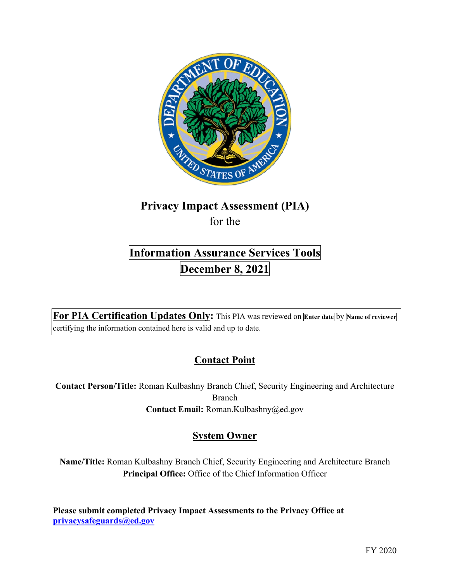

## **Privacy Impact Assessment (PIA)**  for the

# **Information Assurance Services Tools December 8, 2021**

 **For PIA Certification Updates Only:** This PIA was reviewed on **Enter date** by **Name of reviewer**  certifying the information contained here is valid and up to date.

## **Contact Point**

**Contact Person/Title:** Roman Kulbashny Branch Chief, Security Engineering and Architecture Branch **Contact Email:** [Roman.Kulbashny@ed.gov](mailto:Roman.Kulbashny@ed.gov)

## **System Owner**

**Name/Title:** Roman Kulbashny Branch Chief, Security Engineering and Architecture Branch **Principal Office:** Office of the Chief Information Officer

 **Please submit completed Privacy Impact Assessments to the Privacy Office at [privacysafeguards@ed.gov](mailto:privacysafeguards@ed.gov)**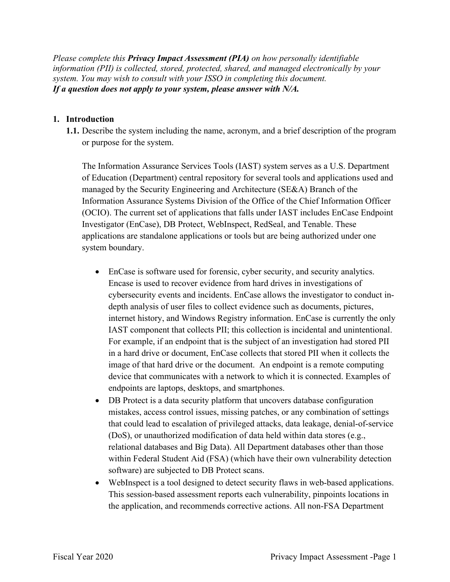*system. You may wish to consult with your ISSO in completing this document. Please complete this Privacy Impact Assessment (PIA) on how personally identifiable information (PII) is collected, stored, protected, shared, and managed electronically by your If a question does not apply to your system, please answer with N/A.* 

## **1. Introduction**

or purpose for the system. **1.1.** Describe the system including the name, acronym, and a brief description of the program

 applications are standalone applications or tools but are being authorized under one The Information Assurance Services Tools (IAST) system serves as a U.S. Department of Education (Department) central repository for several tools and applications used and managed by the Security Engineering and Architecture (SE&A) Branch of the Information Assurance Systems Division of the Office of the Chief Information Officer (OCIO). The current set of applications that falls under IAST includes EnCase Endpoint Investigator (EnCase), DB Protect, WebInspect, RedSeal, and Tenable. These system boundary.

- in a hard drive or document, EnCase collects that stored PII when it collects the • EnCase is software used for forensic, cyber security, and security analytics. Encase is used to recover evidence from hard drives in investigations of cybersecurity events and incidents. EnCase allows the investigator to conduct indepth analysis of user files to collect evidence such as documents, pictures, internet history, and Windows Registry information. EnCase is currently the only IAST component that collects PII; this collection is incidental and unintentional. For example, if an endpoint that is the subject of an investigation had stored PII image of that hard drive or the document. An endpoint is a remote computing device that communicates with a network to which it is connected. Examples of endpoints are laptops, desktops, and smartphones.
- mistakes, access control issues, missing patches, or any combination of settings (DoS), or unauthorized modification of data held within data stores (e.g., relational databases and Big Data). All Department databases other than those • DB Protect is a data security platform that uncovers database configuration that could lead to escalation of privileged attacks, data leakage, denial-of-service within Federal Student Aid (FSA) (which have their own vulnerability detection software) are subjected to DB Protect scans.
- WebInspect is a tool designed to detect security flaws in web-based applications. This session-based assessment reports each vulnerability, pinpoints locations in the application, and recommends corrective actions. All non-FSA Department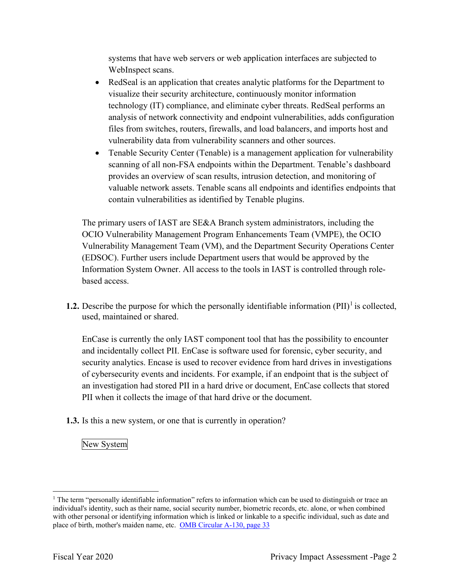systems that have web servers or web application interfaces are subjected to WebInspect scans.

- RedSeal is an application that creates analytic platforms for the Department to visualize their security architecture, continuously monitor information technology (IT) compliance, and eliminate cyber threats. RedSeal performs an analysis of network connectivity and endpoint vulnerabilities, adds configuration files from switches, routers, firewalls, and load balancers, and imports host and vulnerability data from vulnerability scanners and other sources.
- Tenable Security Center (Tenable) is a management application for vulnerability scanning of all non-FSA endpoints within the Department. Tenable's dashboard provides an overview of scan results, intrusion detection, and monitoring of valuable network assets. Tenable scans all endpoints and identifies endpoints that contain vulnerabilities as identified by Tenable plugins.

 Information System Owner. All access to the tools in IAST is controlled through role-The primary users of IAST are SE&A Branch system administrators, including the OCIO Vulnerability Management Program Enhancements Team (VMPE), the OCIO Vulnerability Management Team (VM), and the Department Security Operations Center (EDSOC). Further users include Department users that would be approved by the based access.

**1.2.** Describe the purpose for which the personally identifiable information  $(PII)^{1}$  is collected, used, maintained or shared.

 and incidentally collect PII. EnCase is software used for forensic, cyber security, and EnCase is currently the only IAST component tool that has the possibility to encounter security analytics. Encase is used to recover evidence from hard drives in investigations of cybersecurity events and incidents. For example, if an endpoint that is the subject of an investigation had stored PII in a hard drive or document, EnCase collects that stored PII when it collects the image of that hard drive or the document.

**1.3.** Is this a new system, or one that is currently in operation?

New System

 $1$  The term "personally identifiable information" refers to information which can be used to distinguish or trace an individual's identity, such as their name, social security number, biometric records, etc. alone, or when combined with other personal or identifying information which is linked or linkable to a specific individual, such as date and place of birth, mother's maiden name, etc. OMB Circular A-130, page 33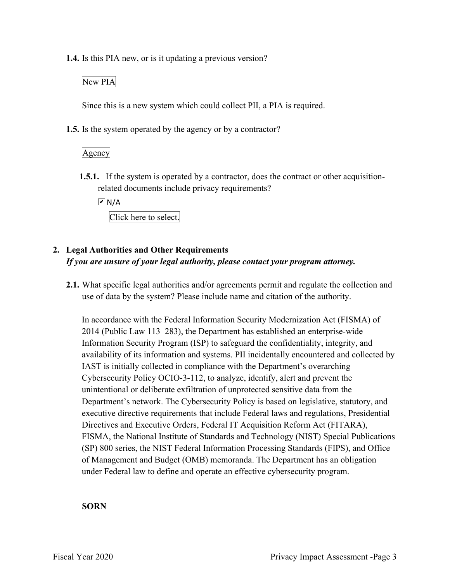**1.4.** Is this PIA new, or is it updating a previous version?

## New PIA

Since this is a new system which could collect PII, a PIA is required.

**1.5.** Is the system operated by the agency or by a contractor?

Agency

 **1.5.1.** If the system is operated by a contractor, does the contract or other acquisitionrelated documents include privacy requirements?

 $\overline{M}$  N/A

Click here to select.

## **2. Legal Authorities and Other Requirements**  *If you are unsure of your legal authority, please contact your program attorney.*

 **2.1.** What specific legal authorities and/or agreements permit and regulate the collection and use of data by the system? Please include name and citation of the authority.

 In accordance with the Federal Information Security Modernization Act (FISMA) of Information Security Program (ISP) to safeguard the confidentiality, integrity, and Cybersecurity Policy OCIO-3-112, to analyze, identify, alert and prevent the unintentional or deliberate exfiltration of unprotected sensitive data from the 2014 (Public Law 113–283), the Department has established an enterprise-wide availability of its information and systems. PII incidentally encountered and collected by IAST is initially collected in compliance with the Department's overarching Department's network. The Cybersecurity Policy is based on legislative, statutory, and executive directive requirements that include Federal laws and regulations, Presidential Directives and Executive Orders, Federal IT Acquisition Reform Act (FITARA), FISMA, the National Institute of Standards and Technology (NIST) Special Publications (SP) 800 series, the NIST Federal Information Processing Standards (FIPS), and Office of Management and Budget (OMB) memoranda. The Department has an obligation under Federal law to define and operate an effective cybersecurity program.

### **SORN**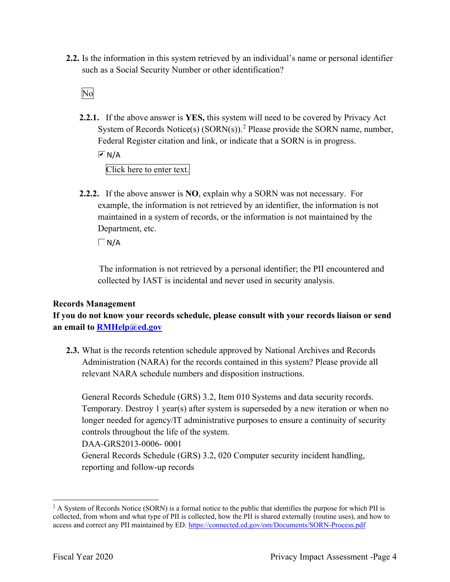**2.2.** Is the information in this system retrieved by an individual's name or personal identifier such as a Social Security Number or other identification?<br>No

**2.2.1.** If the above answer is **YES,** this system will need to be covered by Privacy Act System of Records Notice(s)  $(SORN(s))$ .<sup>2</sup> Please provide the SORN name, number, Federal Register citation and link, or indicate that a SORN is in progress.

 $\overline{M}$  N/A

Click here to enter text.

 **2.2.2.** If the above answer is **NO**, explain why a SORN was not necessary. For Department, etc. example, the information is not retrieved by an identifier, the information is not maintained in a system of records, or the information is not maintained by the

 $\Box$ N/A

 The information is not retrieved by a personal identifier; the PII encountered and collected by IAST is incidental and never used in security analysis.

## **Records Management**

 **an email to [RMHelp@ed.gov](mailto:RMHelp@ed.gov) If you do not know your records schedule, please consult with your records liaison or send** 

 Administration (NARA) for the records contained in this system? Please provide all **2.3.** What is the records retention schedule approved by National Archives and Records relevant NARA schedule numbers and disposition instructions.

General Records Schedule (GRS) 3.2, Item 010 Systems and data security records. Temporary. Destroy 1 year(s) after system is superseded by a new iteration or when no longer needed for agency/IT administrative purposes to ensure a continuity of security controls throughout the life of the system.

DAA-GRS2013-0006- 0001

General Records Schedule (GRS) 3.2, 020 Computer security incident handling, reporting and follow-up records

 $2$  A System of Records Notice (SORN) is a formal notice to the public that identifies the purpose for which PII is collected, from whom and what type of PII is collected, how the PII is shared externally (routine uses), and how to access and correct any PII maintained by ED. <https://connected.ed.gov/om/Documents/SORN-Process.pdf>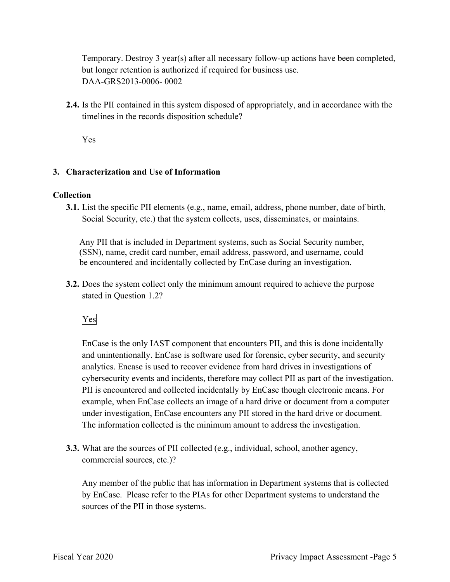DAA-GRS2013-0006- 0002 Temporary. Destroy 3 year(s) after all necessary follow-up actions have been completed, but longer retention is authorized if required for business use.

 timelines in the records disposition schedule? **2.4.** Is the PII contained in this system disposed of appropriately, and in accordance with the

Yes

## **3. Characterization and Use of Information**

## **Collection**

**3.1.** List the specific PII elements (e.g., name, email, address, phone number, date of birth, Social Security, etc.) that the system collects, uses, disseminates, or maintains.

 be encountered and incidentally collected by EnCase during an investigation. Any PII that is included in Department systems, such as Social Security number, (SSN), name, credit card number, email address, password, and username, could

 **3.2.** Does the system collect only the minimum amount required to achieve the purpose stated in Question 1.2?<br>Yes

 and unintentionally. EnCase is software used for forensic, cyber security, and security EnCase is the only IAST component that encounters PII, and this is done incidentally analytics. Encase is used to recover evidence from hard drives in investigations of cybersecurity events and incidents, therefore may collect PII as part of the investigation. PII is encountered and collected incidentally by EnCase though electronic means. For example, when EnCase collects an image of a hard drive or document from a computer under investigation, EnCase encounters any PII stored in the hard drive or document. The information collected is the minimum amount to address the investigation.

**3.3.** What are the sources of PII collected (e.g., individual, school, another agency, commercial sources, etc.)?

 Any member of the public that has information in Department systems that is collected by EnCase. Please refer to the PIAs for other Department systems to understand the sources of the PII in those systems. sources of the PII in those systems.<br>Fiscal Year 2020 Privacy Impact Assessment -Page 5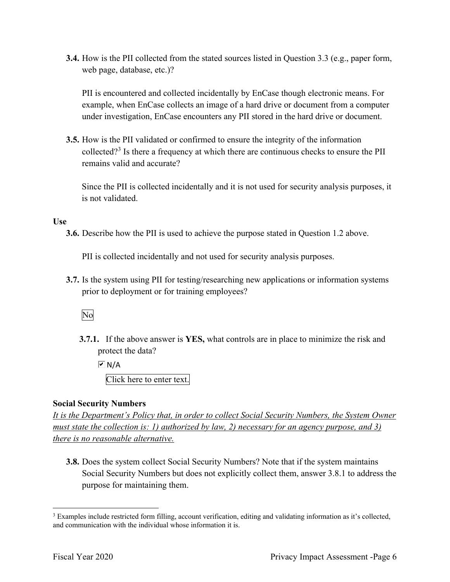**3.4.** How is the PII collected from the stated sources listed in Question 3.3 (e.g., paper form, web page, database, etc.)?

PII is encountered and collected incidentally by EnCase though electronic means. For example, when EnCase collects an image of a hard drive or document from a computer under investigation, EnCase encounters any PII stored in the hard drive or document.

 **3.5.** How is the PII validated or confirmed to ensure the integrity of the information collected?<sup>3</sup> Is there a frequency at which there are continuous checks to ensure the PII remains valid and accurate?

Since the PII is collected incidentally and it is not used for security analysis purposes, it is not validated.

## **Use**

**3.6.** Describe how the PII is used to achieve the purpose stated in Question 1.2 above.

PII is collected incidentally and not used for security analysis purposes.

 **3.7.** Is the system using PII for testing/researching new applications or information systems prior to deployment or for training employees?<br>No

 **3.7.1.** If the above answer is **YES,** what controls are in place to minimize the risk and protect the data?

 $\overline{M}$  N/A

Click here to enter text.

## **Social Security Numbers**

*It is the Department's Policy that, in order to collect Social Security Numbers, the System Owner must state the collection is: 1) authorized by law, 2) necessary for an agency purpose, and 3) there is no reasonable alternative.* 

 **3.8.** Does the system collect Social Security Numbers? Note that if the system maintains Social Security Numbers but does not explicitly collect them, answer 3.8.1 to address the purpose for maintaining them.

 $3$  Examples include restricted form filling, account verification, editing and validating information as it's collected, and communication with the individual whose information it is.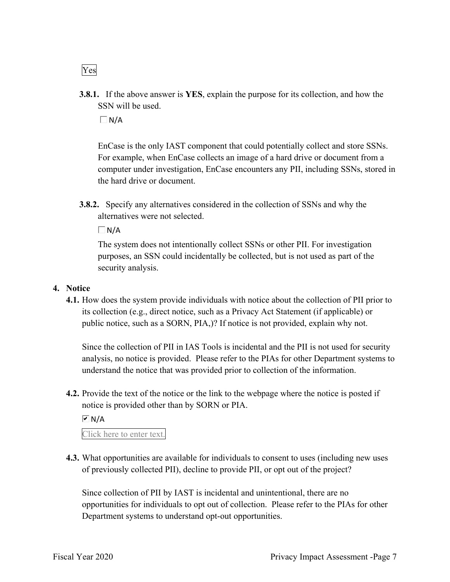**3.8.1.** If the above answer is **YES**, explain the purpose for its collection, and how the SSN will be used.

 $\Box$  N/A

EnCase is the only IAST component that could potentially collect and store SSNs. For example, when EnCase collects an image of a hard drive or document from a computer under investigation, EnCase encounters any PII, including SSNs, stored in the hard drive or document.

 **3.8.2.** Specify any alternatives considered in the collection of SSNs and why the alternatives were not selected.

 $\Box N/A$ 

 The system does not intentionally collect SSNs or other PII. For investigation purposes, an SSN could incidentally be collected, but is not used as part of the security analysis.

### **4. Notice**

 its collection (e.g., direct notice, such as a Privacy Act Statement (if applicable) or **4.1.** How does the system provide individuals with notice about the collection of PII prior to public notice, such as a SORN, PIA,)? If notice is not provided, explain why not.

 Since the collection of PII in IAS Tools is incidental and the PII is not used for security analysis, no notice is provided. Please refer to the PIAs for other Department systems to understand the notice that was provided prior to collection of the information.

**4.2.** Provide the text of the notice or the link to the webpage where the notice is posted if notice is provided other than by SORN or PIA.

 $\overline{M}$  N/A

Click here to enter text.

 **4.3.** What opportunities are available for individuals to consent to uses (including new uses of previously collected PII), decline to provide PII, or opt out of the project?

 opportunities for individuals to opt out of collection. Please refer to the PIAs for other Since collection of PII by IAST is incidental and unintentional, there are no Department systems to understand opt-out opportunities.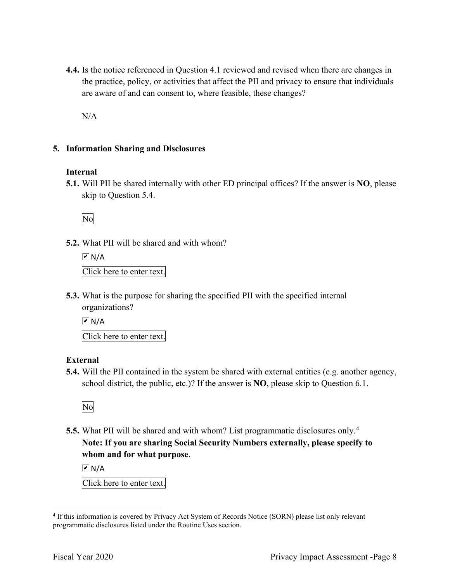**4.4.** Is the notice referenced in Question 4.1 reviewed and revised when there are changes in the practice, policy, or activities that affect the PII and privacy to ensure that individuals are aware of and can consent to, where feasible, these changes?

N/A

## **5. Information Sharing and Disclosures**

### **Internal**

 **5.1.** Will PII be shared internally with other ED principal offices? If the answer is **NO**, please skip to Question 5.4.

No

**5.2.** What PII will be shared and with whom?

 Click here to enter text.  $\overline{M}$  N/A

 **5.3.** What is the purpose for sharing the specified PII with the specified internal organizations?

 $\overline{M}$  N/A

Click here to enter text.

## **External**

 **5.4.** Will the PII contained in the system be shared with external entities (e.g. another agency, school district, the public, etc.)? If the answer is **NO**, please skip to Question 6.1.

No

 **5.5.** What PII will be shared and with whom? List programmatic disclosures only. 4  **Note: If you are sharing Social Security Numbers externally, please specify to whom and for what purpose**.

 $\sqrt{M}$  N/A

Click here to enter text.

<sup>&</sup>lt;sup>4</sup> If this information is covered by Privacy Act System of Records Notice (SORN) please list only relevant programmatic disclosures listed under the Routine Uses section.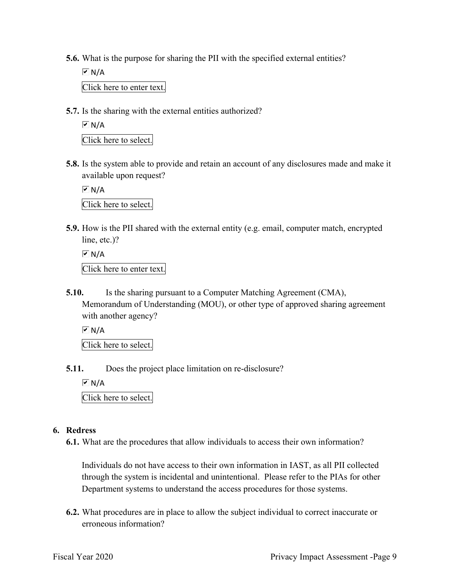- **5.6.** What is the purpose for sharing the PII with the specified external entities?
	- Click here to enter text.  $\boxed{\mathbf{v}}$  N/A
- **5.7.** Is the sharing with the external entities authorized?

 $\overline{a}$  Click here to select.  $\overline{M}$  N/A

 **5.8.** Is the system able to provide and retain an account of any disclosures made and make it available upon request?

 Click here to select.  $\sqrt{M}$  N/A

**5.9.** How is the PII shared with the external entity (e.g. email, computer match, encrypted line, etc.)?

```
 
Click here to enter text. 
\overline{M} N/A
```
**5.10.** Is the sharing pursuant to a Computer Matching Agreement (CMA), Memorandum of Understanding (MOU), or other type of approved sharing agreement with another agency?

 $\overline{M}$  N/A

Click here to select.

**5.11.** Does the project place limitation on re-disclosure?

 $\overline{M}$  N/A

Click here to select.

### **6. Redress**

**6.1.** What are the procedures that allow individuals to access their own information?

 Individuals do not have access to their own information in IAST, as all PII collected through the system is incidental and unintentional. Please refer to the PIAs for other Department systems to understand the access procedures for those systems.

**6.2.** What procedures are in place to allow the subject individual to correct inaccurate or erroneous information?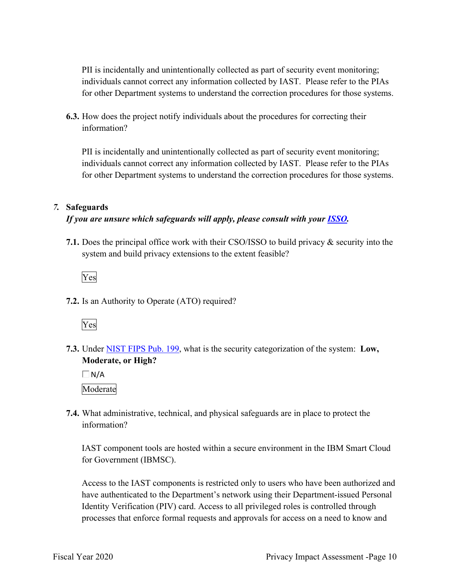individuals cannot correct any information collected by IAST. Please refer to the PIAs PII is incidentally and unintentionally collected as part of security event monitoring; for other Department systems to understand the correction procedures for those systems.

**6.3.** How does the project notify individuals about the procedures for correcting their information?

 individuals cannot correct any information collected by IAST. Please refer to the PIAs PII is incidentally and unintentionally collected as part of security event monitoring; for other Department systems to understand the correction procedures for those systems.

### *7.* **Safeguards**

## *If you are unsure which safeguards will apply, please consult with your ISSO.*

**7.1.** Does the principal office work with their CSO/ISSO to build privacy & security into the system and build privacy extensions to the extent feasible?



**7.2.** Is an Authority to Operate (ATO) required?



 **7.3.** Under NIST FIPS Pub. 199, what is the security categorization of the system: **Low, Moderate, or High?** 

 $\Box$ N/A Moderate

 **7.4.** What administrative, technical, and physical safeguards are in place to protect the information?

 for Government (IBMSC). IAST component tools are hosted within a secure environment in the IBM Smart Cloud

Access to the IAST components is restricted only to users who have been authorized and have authenticated to the Department's network using their Department-issued Personal Identity Verification (PIV) card. Access to all privileged roles is controlled through processes that enforce formal requests and approvals for access on a need to know and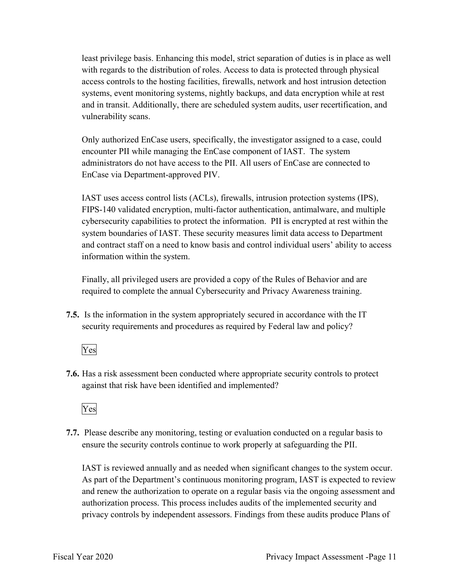systems, event monitoring systems, nightly backups, and data encryption while at rest least privilege basis. Enhancing this model, strict separation of duties is in place as well with regards to the distribution of roles. Access to data is protected through physical access controls to the hosting facilities, firewalls, network and host intrusion detection and in transit. Additionally, there are scheduled system audits, user recertification, and vulnerability scans.

 Only authorized EnCase users, specifically, the investigator assigned to a case, could encounter PII while managing the EnCase component of IAST. The system administrators do not have access to the PII. All users of EnCase are connected to EnCase via Department-approved PIV.

 IAST uses access control lists (ACLs), firewalls, intrusion protection systems (IPS), FIPS-140 validated encryption, multi-factor authentication, antimalware, and multiple cybersecurity capabilities to protect the information. PII is encrypted at rest within the system boundaries of IAST. These security measures limit data access to Department and contract staff on a need to know basis and control individual users' ability to access information within the system.

 Finally, all privileged users are provided a copy of the Rules of Behavior and are required to complete the annual Cybersecurity and Privacy Awareness training.

 **7.5.** Is the information in the system appropriately secured in accordance with the IT security requirements and procedures as required by Federal law and policy?

## Yes

**7.6.** Has a risk assessment been conducted where appropriate security controls to protect against that risk have been identified and implemented?



 ensure the security controls continue to work properly at safeguarding the PII. **7.7.** Please describe any monitoring, testing or evaluation conducted on a regular basis to

 As part of the Department's continuous monitoring program, IAST is expected to review IAST is reviewed annually and as needed when significant changes to the system occur. and renew the authorization to operate on a regular basis via the ongoing assessment and authorization process. This process includes audits of the implemented security and privacy controls by independent assessors. Findings from these audits produce Plans of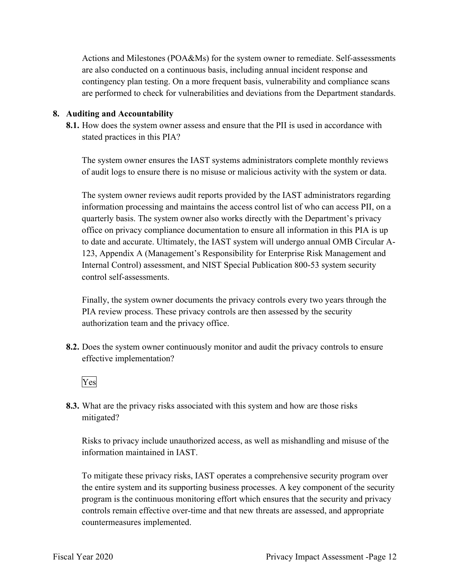are also conducted on a continuous basis, including annual incident response and Actions and Milestones (POA&Ms) for the system owner to remediate. Self-assessments contingency plan testing. On a more frequent basis, vulnerability and compliance scans are performed to check for vulnerabilities and deviations from the Department standards.

### **8. Auditing and Accountability**

 **8.1.** How does the system owner assess and ensure that the PII is used in accordance with stated practices in this PIA?

 of audit logs to ensure there is no misuse or malicious activity with the system or data. The system owner ensures the IAST systems administrators complete monthly reviews

The system owner reviews audit reports provided by the IAST administrators regarding information processing and maintains the access control list of who can access PII, on a quarterly basis. The system owner also works directly with the Department's privacy office on privacy compliance documentation to ensure all information in this PIA is up to date and accurate. Ultimately, the IAST system will undergo annual OMB Circular A-123, Appendix A (Management's Responsibility for Enterprise Risk Management and Internal Control) assessment, and NIST Special Publication 800-53 system security control self-assessments.

Finally, the system owner documents the privacy controls every two years through the PIA review process. These privacy controls are then assessed by the security authorization team and the privacy office.

 **8.2.** Does the system owner continuously monitor and audit the privacy controls to ensure effective implementation?



mitigated? **8.3.** What are the privacy risks associated with this system and how are those risks

 information maintained in IAST. Risks to privacy include unauthorized access, as well as mishandling and misuse of the

 the entire system and its supporting business processes. A key component of the security program is the continuous monitoring effort which ensures that the security and privacy To mitigate these privacy risks, IAST operates a comprehensive security program over controls remain effective over-time and that new threats are assessed, and appropriate countermeasures implemented.